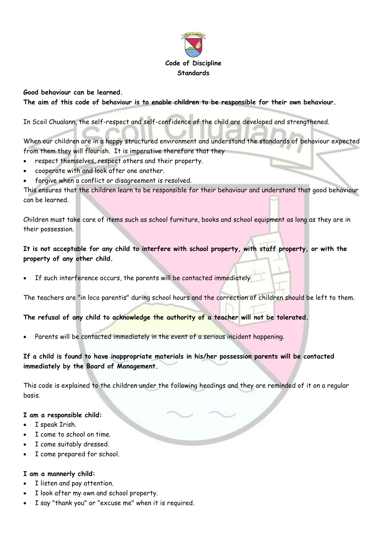

### **Good behaviour can be learned.**

**The aim of this code of behaviour is to enable children to be responsible for their own behaviour.**

In Scoil Chualann, the self-respect and self-confidence of the child are developed and strengthened.

When our children are in a happy structured environment and understand the standards of behaviour expected from them they will flourish. It is imperative therefore that they

- respect themselves, respect others and their property.
- cooperate with and look after one another.
- forgive when a conflict or disagreement is resolved.

This ensures that the children learn to be responsible for their behaviour and understand that good behaviour can be learned.

Children must take care of items such as school furniture, books and school equipment as long as they are in their possession.

**It is not acceptable for any child to interfere with school property, with staff property, or with the property of any other child.**

If such interference occurs, the parents will be contacted immediately

The teachers are "in loco parentis" during school hours and the correction of children should be left to them.

**The refusal of any child to acknowledge the authority of a teacher will not be tolerated.**

Parents will be contacted immediately in the event of a serious incident happening.

**If a child is found to have inappropriate materials in his/her possession parents will be contacted immediately by the Board of Management.**

This code is explained to the children under the following headings and they are reminded of it on a regular basis.

### **I am a responsible child:**

- I speak Irish.
- I come to school on time.
- I come suitably dressed.
- I come prepared for school.

### **I am a mannerly child:**

- I listen and pay attention.
- I look after my own and school property.
- I say "thank you" or "excuse me" when it is required.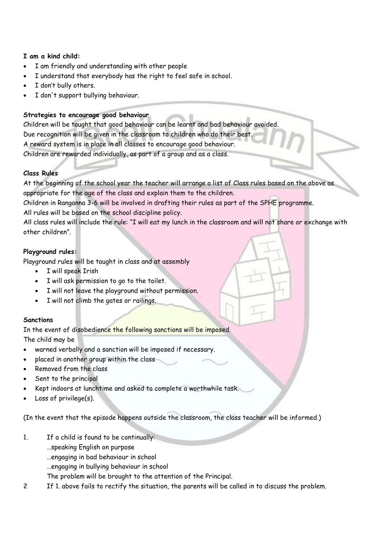## **I am a kind child:**

- I am friendly and understanding with other people
- I understand that everybody has the right to feel safe in school.
- I don't bully others.
- I don't support bullying behaviour.

## **Strategies to encourage good behaviour**

Children will be taught that good behaviour can be learnt and bad behaviour avoided. Due recognition will be given in the classroom to children who do their best. A reward system is in place in all classes to encourage good behaviour. Children are rewarded individually, as part of a group and as a class.

## **Class Rules**

At the beginning of the school year the teacher will arrange a list of Class rules based on the above as appropriate for the age of the class and explain them to the children.

Children in Ranganna 3-6 will be involved in drafting their rules as part of the SPHE programme. All rules will be based on the school discipline policy.

All class rules will include the rule: "I will eat my lunch in the classroom and will not share or exchange with other children".

## **Playground rules:**

Playground rules will be taught in class and at assembly

- I will speak Irish
- I will ask permission to go to the toilet.
- I will not leave the playground without permission.
- I will not climb the gates or railings.

## **Sanctions**

In the event of disobedience the following sanctions will be imposed. The child may be

- warned verbally and a sanction will be imposed if necessary.
- placed in another group within the class
- Removed from the class
- Sent to the principal
- Kept indoors at lunchtime and asked to complete a worthwhile task.
- Loss of privilege(s).

(In the event that the episode happens outside the classroom, the class teacher will be informed.)

- 1. If a child is found to be continually:
	- …speaking English on purpose
	- …engaging in bad behaviour in school
	- …engaging in bullying behaviour in school
	- The problem will be brought to the attention of the Principal.
- 2 If 1. above fails to rectify the situation, the parents will be called in to discuss the problem.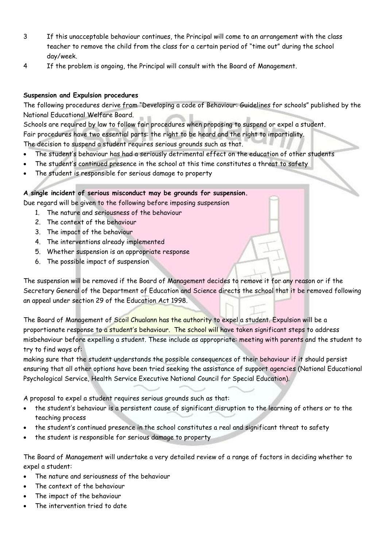- 3 If this unacceptable behaviour continues, the Principal will come to an arrangement with the class teacher to remove the child from the class for a certain period of "time out" during the school day/week.
- 4 If the problem is ongoing, the Principal will consult with the Board of Management.

## **Suspension and Expulsion procedures**

The following procedures derive from "Developing a code of Behaviour: Guidelines for schools" published by the National Educational Welfare Board.

Schools are required by law to follow fair procedures when proposing to suspend or expel a student. Fair procedures have two essential parts: the right to be heard and the right to impartiality. The decision to suspend a student requires serious grounds such as that.

- The student's behaviour has had a seriously detrimental effect on the education of other students
- The student's continued presence in the school at this time constitutes a threat to safety
- The student is responsible for serious damage to property

# **A single incident of serious misconduct may be grounds for suspension.**

Due regard will be given to the following before imposing suspension

- 1. The nature and seriousness of the behaviour
- 2. The context of the behaviour
- 3. The impact of the behaviour
- 4. The interventions already implemented
- 5. Whether suspension is an appropriate response
- 6. The possible impact of suspension

The suspension will be removed if the Board of Management decides to remove it for any reason or if the Secretary General of the Department of Education and Science directs the school that it be removed following an appeal under section 29 of the Education Act 1998.

The Board of Management of Scoil Chualann has the authority to expel a student. Expulsion will be a proportionate response to a student's behaviour. The school will have taken significant steps to address misbehaviour before expelling a student. These include as appropriate: meeting with parents and the student to try to find ways of:

making sure that the student understands the possible consequences of their behaviour if it should persist ensuring that all other options have been tried seeking the assistance of support agencies (National Educational Psychological Service, Health Service Executive National Council for Special Education).

A proposal to expel a student requires serious grounds such as that:

- the student's behaviour is a persistent cause of significant disruption to the learning of others or to the teaching process
- the student's continued presence in the school constitutes a real and significant threat to safety
- the student is responsible for serious damage to property

The Board of Management will undertake a very detailed review of a range of factors in deciding whether to expel a student:

- The nature and seriousness of the behaviour
- The context of the behaviour
- The impact of the behaviour
- The intervention tried to date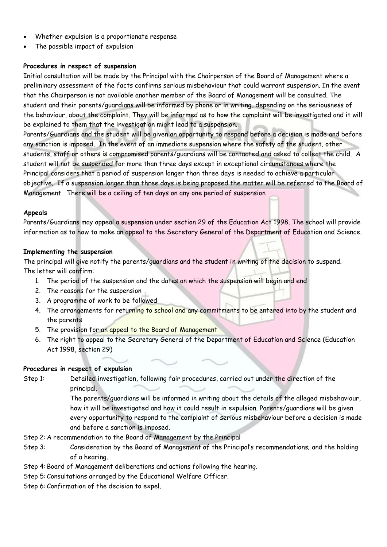- Whether expulsion is a proportionate response
- The possible impact of expulsion

### **Procedures in respect of suspension**

Initial consultation will be made by the Principal with the Chairperson of the Board of Management where a preliminary assessment of the facts confirms serious misbehaviour that could warrant suspension. In the event that the Chairperson is not available another member of the Board of Management will be consulted. The student and their parents/guardians will be informed by phone or in writing, depending on the seriousness of the behaviour, about the complaint. They will be informed as to how the complaint will be investigated and it will be explained to them that the investigation might lead to a suspension.

Parents/Guardians and the student will be given an opportunity to respond before a decision is made and before any sanction is imposed. In the event of an immediate suspension where the safety of the student, other students, staff or others is compromised parents/guardians will be contacted and asked to collect the child. A student will not be suspended for more than three days except in exceptional circumstances where the Principal considers that a period of suspension longer than three days is needed to achieve a particular objective. If a suspension longer than three days is being proposed the matter will be referred to the Board of Management. There will be a ceiling of ten days on any one period of suspension

### **Appeals**

Parents/Guardians may appeal a suspension under section 29 of the Education Act 1998. The school will provide information as to how to make an appeal to the Secretary General of the Department of Education and Science.

### **Implementing the suspension**

The principal will give notify the parents/guardians and the student in writing of the decision to suspend. The letter will confirm:

- 1. The period of the suspension and the dates on which the suspension will begin and end
- 2. The reasons for the suspension
- 3. A programme of work to be followed
- 4. The arrangements for returning to school and any commitments to be entered into by the student and the parents
- 5. The provision for an appeal to the Board of Management
- 6. The right to appeal to the Secretary General of the Department of Education and Science (Education Act 1998, section 29)

### **Procedures in respect of expulsion**

Step 1: Detailed investigation, following fair procedures, carried out under the direction of the principal.

> The parents/guardians will be informed in writing about the details of the alleged misbehaviour, how it will be investigated and how it could result in expulsion. Parents/guardians will be given every opportunity to respond to the complaint of serious misbehaviour before a decision is made and before a sanction is imposed.

- Step 2: A recommendation to the Board of Management by the Principal
- Step 3: Consideration by the Board of Management of the Principal's recommendations; and the holding of a hearing.
- Step 4: Board of Management deliberations and actions following the hearing.
- Step 5: Consultations arranged by the Educational Welfare Officer.
- Step 6: Confirmation of the decision to expel.